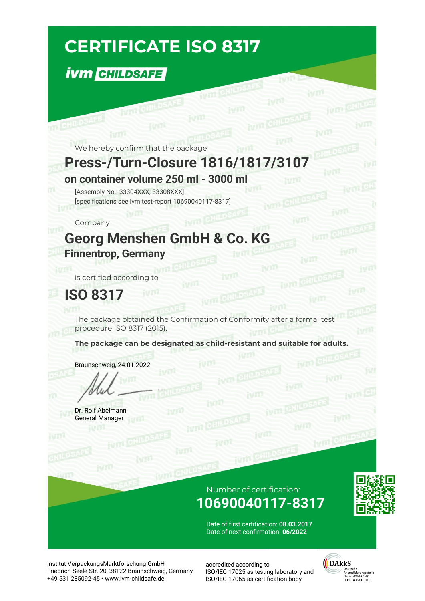# **CERTIFICATE ISO 8317**

### **İVM CHILDSAFE**

We hereby confirm that the package

**WITH CHILDS** 

### **Press-/Turn-Closure 1816/1817/3107**

fym CHILD

**on container volume 250 ml - 3000 ml**

[Assembly No.: 33304XXX; 33308XXX] [specifications see ivm test-report 10690040117-8317]

Company

**TTL** CHILDS

### **Georg Menshen GmbH & Co. KG Finnentrop, Germany**

is certified according to

**ISO 8317**

The package obtained the Confirmation of Conformity after a formal test procedure ISO 8317 (2015).

**The package can be designated as child-resistant and suitable for adults.**

Braunschweig, 24.01.2022

Dr. Rolf Abelmann General Manager

#### Number of certification: **10690040117-8317**

ivm



Date of first certification: **08.03.2017** Date of next confirmation: **06/2022**

Institut VerpackungsMarktforschung GmbH Friedrich-Seele-Str. 20, 38122 Braunschweig, Germany +49 531 285092-45 • www.ivm-childsafe.de

accredited according to ISO/IEC 17025 as testing laboratory and ISO/IEC 17065 as certification body



ivm CHI